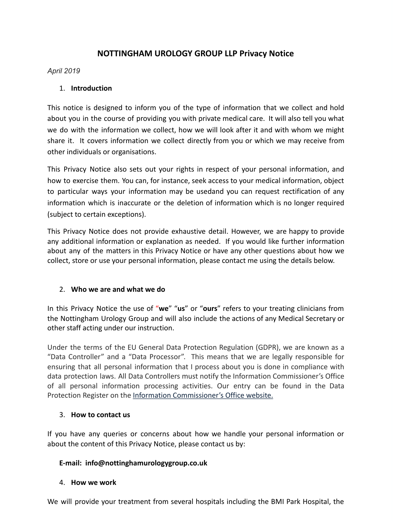# **NOTTINGHAM UROLOGY GROUP LLP Pgipacs N]jice**

### *ASUil 2019*

### 1. **Introduction**

This notice is designed to inform you of the type of information that we collect and hold about you in the course of providing you with private medical care. It will also tell you what we do with the information we collect, how we will look after it and with whom we might share it. It covers information we collect directly from you or which we may receive from other individuals or organisations.

This Privacy Notice also sets out your rights in respect of your personal information, and how to exercise them. You can, for instance, seek access to your medical information, object to particular ways your information may be usedand you can request rectification of any information which is inaccurate or the deletion of information which is no longer required (subject to certain exceptions).

This Privacy Notice does not provide exhaustive detail. However, we are happy to provide any additional information or explanation as needed. If you would like further information about any of the matters in this Privacy Notice or have any other questions about how we collect, store or use your personal information, please contact me using the details below.

### 2. **Who we are and what we do**

In this Privacy Notice the use of "we" "us" or "ours" refers to your treating clinicians from the Nottingham Urology Group and will also include the actions of any Medical Secretary or other staff acting under our instruction.

Under the terms of the EU General Data Protection Regulation (GDPR), we are known as a "Data Controller" and a "Data Processor". This means that we are legally responsible for ensuring that all personal information that I process about you is done in compliance with data protection laws. All Data Controllers must notify the Information Commissioner's Office of all personal information processing activities. Our entry can be found in the Data Protection Register on the Information Commissioner's Office website.

### $3.$  **How to contact us**

If you have any queries or concerns about how we handle your personal information or about the content of this Privacy Notice, please contact us by:

## E-mail: info@nottinghamurologygroup.co.uk

### 4. **How we work**

We will provide your treatment from several hospitals including the BMI Park Hospital, the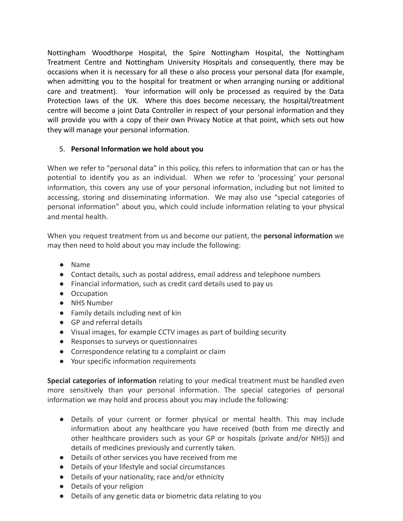Nottingham Woodthorpe Hospital, the Spire Nottingham Hospital, the Nottingham Treatment Centre and Nottingham University Hospitals and consequently, there may be occasions when it is necessary for all these o also process your personal data (for example, when admitting you to the hospital for treatment or when arranging nursing or additional care and treatment). Your information will only be processed as required by the Data Protection laws of the UK. Where this does become necessary, the hospital/treatment centre will become a joint Data Controller in respect of your personal information and they will provide you with a copy of their own Privacy Notice at that point, which sets out how they will manage your personal information.

## 5. Personal Information we hold about you

When we refer to "personal data" in this policy, this refers to information that can or has the potential to identify you as an individual. When we refer to 'processing' your personal information, this covers any use of your personal information, including but not limited to accessing, storing and disseminating information. We may also use "special categories of personal information" about you, which could include information relating to your physical and mental health.

When you request treatment from us and become our patient, the **personal information** we may then need to hold about you may include the following:

- Name
- Contact details, such as postal address, email address and telephone numbers
- Financial information, such as credit card details used to pay us
- Occupation
- NHS Number
- Family details including next of kin
- GP and referral details
- Visual images, for example CCTV images as part of building security
- Responses to surveys or questionnaires
- Correspondence relating to a complaint or claim
- Your specific information requirements

**Special categories of information** relating to your medical treatment must be handled even more sensitively than your personal information. The special categories of personal information we may hold and process about you may include the following:

- Details of your current or former physical or mental health. This may include information about any healthcare you have received (both from me directly and other healthcare providers such as your GP or hospitals (private and/or NHS)) and details of medicines previously and currently taken.
- Details of other services you have received from me
- Details of your lifestyle and social circumstances
- Details of your nationality, race and/or ethnicity
- Details of your religion
- Details of any genetic data or biometric data relating to you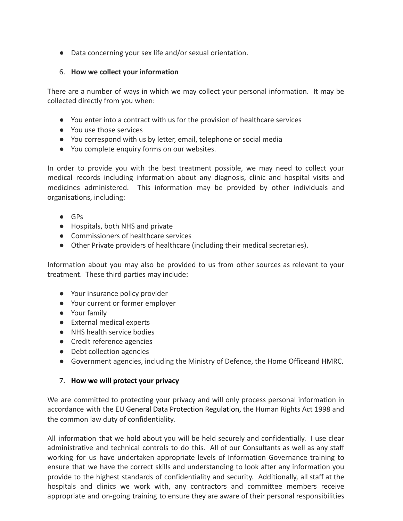● Data concerning your sex life and/or sexual orientation.

### 6. How we collect your information

There are a number of ways in which we may collect your personal information. It may be collected directly from you when:

- You enter into a contract with us for the provision of healthcare services
- You use those services
- You correspond with us by letter, email, telephone or social media
- You complete enquiry forms on our websites.

In order to provide you with the best treatment possible, we may need to collect your medical records including information about any diagnosis, clinic and hospital visits and medicines administered. This information may be provided by other individuals and organisations, including:

- GPs
- Hospitals, both NHS and private
- Commissioners of healthcare services
- Other Private providers of healthcare (including their medical secretaries).

Information about you may also be provided to us from other sources as relevant to your treatment. These third parties may include:

- Your insurance policy provider
- Your current or former employer
- Your family
- External medical experts
- NHS health service bodies
- Credit reference agencies
- Debt collection agencies
- Government agencies, including the Ministry of Defence, the Home Officeand HMRC.

### **7.** How we will protect your privacy

We are committed to protecting your privacy and will only process personal information in accordance with the EU General Data Protection Regulation, the Human Rights Act 1998 and the common law duty of confidentiality.

All information that we hold about you will be held securely and confidentially. I use clear administrative and technical controls to do this. All of our Consultants as well as any staff working for us have undertaken appropriate levels of Information Governance training to ensure that we have the correct skills and understanding to look after any information you provide to the highest standards of confidentiality and security. Additionally, all staff at the hospitals and clinics we work with, any contractors and committee members receive appropriate and on-going training to ensure they are aware of their personal responsibilities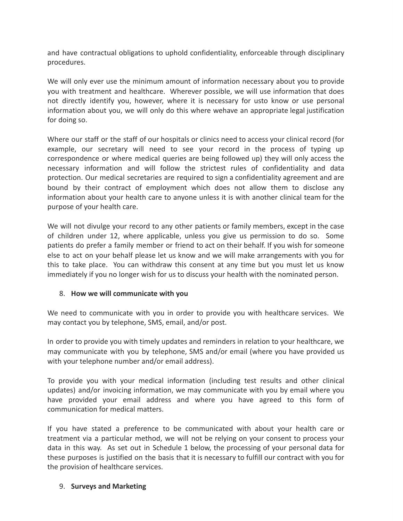and have contractual obligations to uphold confidentiality, enforceable through disciplinary procedures.

We will only ever use the minimum amount of information necessary about you to provide you with treatment and healthcare. Wherever possible, we will use information that does not directly identify you, however, where it is necessary for usto know or use personal information about you, we will only do this where wehave an appropriate legal justification for doing so.

Where our staff or the staff of our hospitals or clinics need to access your clinical record (for example, our secretary will need to see your record in the process of typing up correspondence or where medical queries are being followed up) they will only access the necessary information and will follow the strictest rules of confidentiality and data protection. Our medical secretaries are required to sign a confidentiality agreement and are bound by their contract of employment which does not allow them to disclose any information about your health care to anyone unless it is with another clinical team for the purpose of your health care.

We will not divulge your record to any other patients or family members, except in the case of children under 12, where applicable, unless you give us permission to do so. Some patients do prefer a family member or friend to act on their behalf. If you wish for someone else to act on your behalf please let us know and we will make arrangements with you for this to take place. You can withdraw this consent at any time but you must let us know immediately if you no longer wish for us to discuss your health with the nominated person.

### 8. How we will communicate with you

We need to communicate with you in order to provide you with healthcare services. We may contact you by telephone, SMS, email, and/or post.

In order to provide you with timely updates and reminders in relation to your healthcare, we may communicate with you by telephone, SMS and/or email (where you have provided us with your telephone number and/or email address).

To provide you with your medical information (including test results and other clinical updates) and/or invoicing information, we may communicate with you by email where you have provided your email address and where you have agreed to this form of communication for medical matters.

If you have stated a preference to be communicated with about your health care or treatment via a particular method, we will not be relying on your consent to process your data in this way. As set out in Schedule 1 below, the processing of your personal data for these purposes is justified on the basis that it is necessary to fulfill our contract with you for the provision of healthcare services.

#### **9. Surveys and Marketing**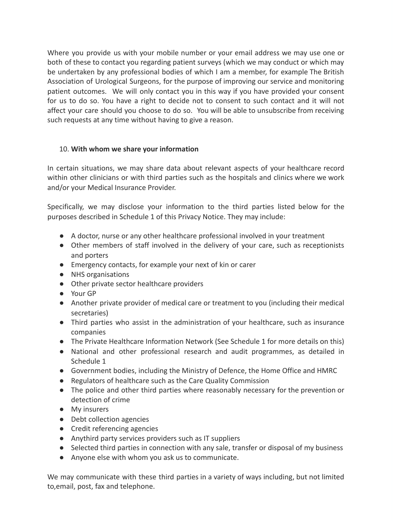Where you provide us with your mobile number or your email address we may use one or both of these to contact you regarding patient surveys (which we may conduct or which may be undertaken by any professional bodies of which I am a member, for example The British Association of Urological Surgeons, for the purpose of improving our service and monitoring patient outcomes. We will only contact you in this way if you have provided your consent for us to do so. You have a right to decide not to consent to such contact and it will not affect your care should you choose to do so. You will be able to unsubscribe from receiving such requests at any time without having to give a reason.

#### 10. With whom we share your information

In certain situations, we may share data about relevant aspects of your healthcare record within other clinicians or with third parties such as the hospitals and clinics where we work and/or your Medical Insurance Provider.

Specifically, we may disclose your information to the third parties listed below for the purposes described in Schedule 1 of this Privacy Notice. They may include:

- A doctor, nurse or any other healthcare professional involved in your treatment
- Other members of staff involved in the delivery of your care, such as receptionists and porters
- Emergency contacts, for example your next of kin or carer
- NHS organisations
- Other private sector healthcare providers
- Your GP
- Another private provider of medical care or treatment to you (including their medical secretaries)
- Third parties who assist in the administration of your healthcare, such as insurance companies
- The Private Healthcare Information Network (See Schedule 1 for more details on this)
- National and other professional research and audit programmes, as detailed in Schedule 1
- Government bodies, including the Ministry of Defence, the Home Office and HMRC
- Regulators of healthcare such as the Care Quality Commission
- The police and other third parties where reasonably necessary for the prevention or detection of crime
- My insurers
- Debt collection agencies
- Credit referencing agencies
- Anythird party services providers such as IT suppliers
- Selected third parties in connection with any sale, transfer or disposal of my business
- Anyone else with whom you ask us to communicate.

We may communicate with these third parties in a variety of ways including, but not limited to,email, post, fax and telephone.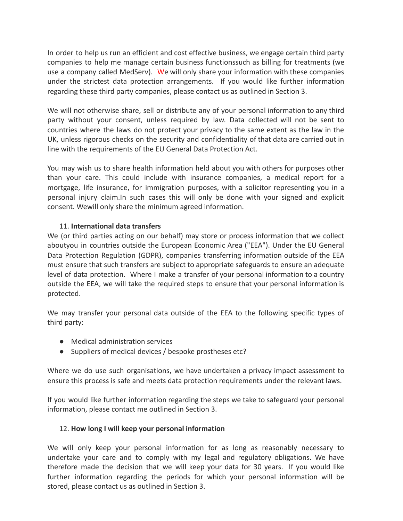In order to help us run an efficient and cost effective business, we engage certain third party companies to help me manage certain business functionssuch as billing for treatments (we use a company called MedServ). We will only share your information with these companies under the strictest data protection arrangements. If you would like further information regarding these third party companies, please contact us as outlined in Section 3.

We will not otherwise share, sell or distribute any of your personal information to any third party without your consent, unless required by law. Data collected will not be sent to countries where the laws do not protect your privacy to the same extent as the law in the UK, unless rigorous checks on the security and confidentiality of that data are carried out in line with the requirements of the EU General Data Protection Act.

You may wish us to share health information held about you with others for purposes other than your care. This could include with insurance companies, a medical report for a mortgage, life insurance, for immigration purposes, with a solicitor representing you in a personal injury claim.In such cases this will only be done with your signed and explicit consent. Wewill only share the minimum agreed information.

#### 11. **International data transfers**

We (or third parties acting on our behalf) may store or process information that we collect aboutyou in countries outside the European Economic Area ("EEA"). Under the EU General Data Protection Regulation (GDPR), companies transferring information outside of the EEA must ensure that such transfers are subject to appropriate safeguards to ensure an adequate level of data protection. Where I make a transfer of your personal information to a country outside the EEA, we will take the required steps to ensure that your personal information is protected.

We may transfer your personal data outside of the EEA to the following specific types of third party:

- Medical administration services
- Suppliers of medical devices / bespoke prostheses etc?

Where we do use such organisations, we have undertaken a privacy impact assessment to ensure this process is safe and meets data protection requirements under the relevant laws.

If you would like further information regarding the steps we take to safeguard your personal information, please contact me outlined in Section 3.

### 12. How long I will keep your personal information

We will only keep your personal information for as long as reasonably necessary to undertake your care and to comply with my legal and regulatory obligations. We have therefore made the decision that we will keep your data for 30 years. If you would like further information regarding the periods for which your personal information will be stored, please contact us as outlined in Section 3.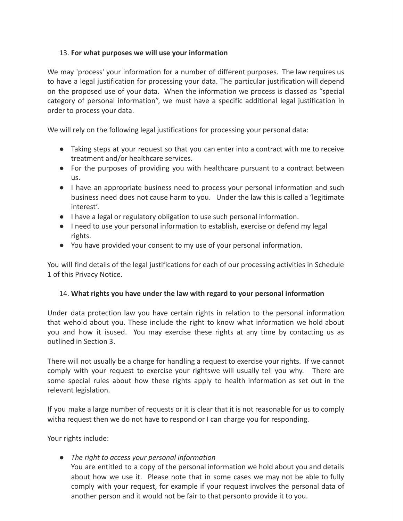### 13. For what purposes we will use your information

We may 'process' your information for a number of different purposes. The law requires us to have a legal justification for processing your data. The particular justification will depend on the proposed use of your data. When the information we process is classed as "special category of personal information", we must have a specific additional legal justification in order to process your data.

We will rely on the following legal justifications for processing your personal data:

- Taking steps at your request so that you can enter into a contract with me to receive treatment and/or healthcare services.
- For the purposes of providing you with healthcare pursuant to a contract between us.
- I have an appropriate business need to process your personal information and such business need does not cause harm to you. Under the law this is called a 'legitimate interest'.
- I have a legal or regulatory obligation to use such personal information.
- I need to use your personal information to establish, exercise or defend my legal rights.
- You have provided your consent to my use of your personal information.

You will find details of the legal justifications for each of our processing activities in Schedule 1 of this Privacy Notice.

### ÂÅ. **Whaj gighjh s]k hape k[deg jhe laq qijh gegagd j] s]kg degh][al i[f]gmaji][**

Under data protection law you have certain rights in relation to the personal information that wehold about you. These include the right to know what information we hold about you and how it isused. You may exercise these rights at any time by contacting us as outlined in Section Ä.

There will not usually be a charge for handling a request to exercise your rights. If we cannot comply with your request to exercise your rightswe will usually tell you why. There are some special rules about how these rights apply to health information as set out in the relevant legislation.

If you make a large number of requests or it is clear that it is not reasonable for us to comply witha request then we do not have to respond or I can charge you for responding.

Your rights include:

• *The right to access your personal information* 

You are entitled to a copy of the personal information we hold about you and details about how we use it. Please note that in some cases we may not be able to fully comply with your request, for example if your request involves the personal data of another person and it would not be fair to that personto provide it to you.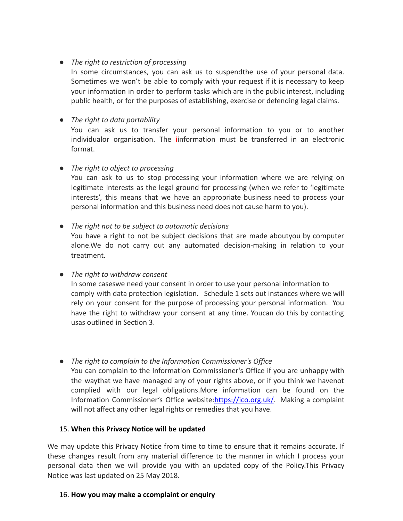### • *The right to restriction of processing*

In some circumstances, you can ask us to suspendthe use of your personal data. Sometimes we won't be able to comply with your request if it is necessary to keep your information in order to perform tasks which are in the public interest, including public health, or for the purposes of establishing, exercise or defending legal claims.

## • *The right to data portability*

You can ask us to transfer your personal information to you or to another individualor organisation. The iinformation must be transferred in an electronic format.

## • *The right to object to processing*

You can ask to us to stop processing your information where we are relying on legitimate interests as the legal ground for processing (when we refer to 'legitimate interests', this means that we have an appropriate business need to process your personal information and this business need does not cause harm to you).

#### • *The right not to be subject to automatic decisions*

You have a right to not be subject decisions that are made aboutyou by computer alone.We do not carry out any automated decision-making in relation to your treatment.

### • *The right to withdraw consent*

In some caseswe need your consent in order to use your personal information to comply with data protection legislation. Schedule 1 sets out instances where we will rely on your consent for the purpose of processing your personal information. You have the right to withdraw your consent at any time. Youcan do this by contacting usas outlined in Section Ä.

### **•** The right to complain to the Information Commissioner's Office

You can complain to the Information Commissioner's Office if you are unhappy with the waythat we have managed any of your rights above, or if you think we havenot complied with our legal obligations.More information can be found on the Information Commissioner's Office website:https://ico.org.uk/. Making a complaint will not affect any other legal rights or remedies that you have.

### 15. When this Privacy Notice will be updated

We may update this Privacy Notice from time to time to ensure that it remains accurate. If these changes result from any material difference to the manner in which I process your personal data then we will provide you with an updated copy of the Policy.This Privacy Notice was last updated on 25 May 2018.

### 16. How you may make a ccomplaint or enquiry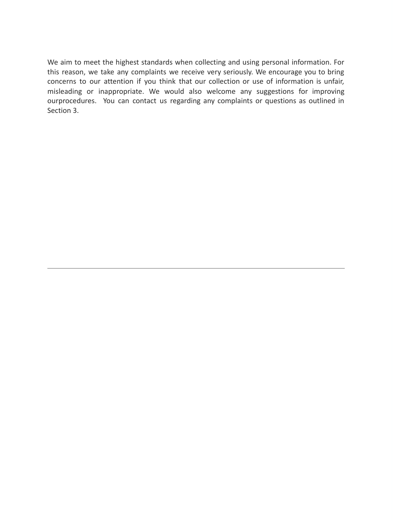We aim to meet the highest standards when collecting and using personal information. For this reason, we take any complaints we receive very seriously. We encourage you to bring concerns to our attention if you think that our collection or use of information is unfair, misleading or inappropriate. We would also welcome any suggestions for improving ourprocedures. You can contact us regarding any complaints or questions as outlined in Section 3.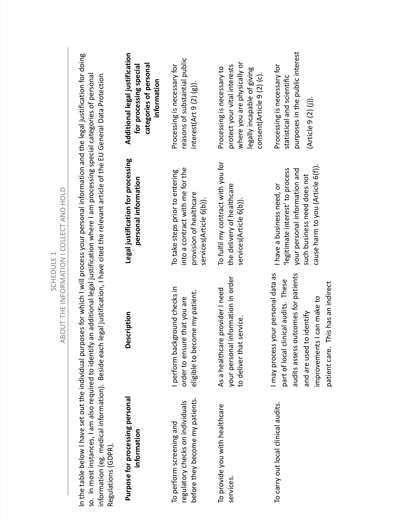| Regulations (GDPR).                                                                             | In the table below I have set out the individual purposes for which I will process your personal information and the legal justification for doing<br>so. In most instances, I am also required to identify an additional legal justification where I am processing special categories of personal<br>information (eg. medical information). Beside each legal justification, I have cited the relevant article of the EU General Data Protection | ABOUT THE INFORMATION I COLLECT AND HOLD                                                                                                                            |                                                                                                                                                        |
|-------------------------------------------------------------------------------------------------|---------------------------------------------------------------------------------------------------------------------------------------------------------------------------------------------------------------------------------------------------------------------------------------------------------------------------------------------------------------------------------------------------------------------------------------------------|---------------------------------------------------------------------------------------------------------------------------------------------------------------------|--------------------------------------------------------------------------------------------------------------------------------------------------------|
| Purpose for processing personal<br>information                                                  | Description                                                                                                                                                                                                                                                                                                                                                                                                                                       | Legal justification for processing<br>personal information                                                                                                          | Additional legal justification<br>categories of personal<br>for processing special<br>information                                                      |
| before they become my patients.<br>regulatory checks on individuals<br>To perform screening and | perform background checks in<br>eligible to become my patient.<br>order to ensure that you are                                                                                                                                                                                                                                                                                                                                                    | into a contract with me for the<br>To take steps prior to entering<br>provision of healthcare<br>services(Article 6(b)).                                            | reasons of substantial public<br>Processing is necessary for<br>interest( $Art 9(2)(g)$ ).                                                             |
| To provide you with healthcare<br>services.                                                     | your personal information in order<br>As a healthcare provider I need<br>service.<br>to deliver that                                                                                                                                                                                                                                                                                                                                              | To fulfil my contract with you for<br>the delivery of healthcare<br>services(Article 6(b)).                                                                         | where you are physically or<br>protect your vital interests<br>Processing is necessary to<br>legally incapable of giving<br>consent(Article 9 (2) (c). |
| To carry out local clinical audits.                                                             | I may process your personal data as<br>audits assess outcomes for patients<br>part of local clinical audits. These<br>patient care. This has an indirect<br>improvements I can make to<br>and are used to identify                                                                                                                                                                                                                                | cause harm to you (Article 6(f)).<br>'legitimate interest' to process<br>your personal information and<br>such business need does not<br>I have a business need, or | purposes in the public interest<br>Processing is necessary for<br>statistical and scientific<br>(Article 9 (2)                                         |

SCHEDULE 1

SCHEDULE 1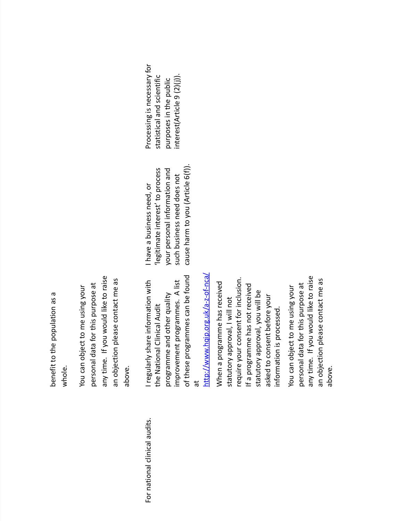benefit to the population as a benefit to the population as a whole.

 to raise an objection please contact me as an objection please contact me as personal data for this purpose at personal data for this purpose at You can object to me using your You can object to me using would lik eyou time. If قع abo an<br>an

For national clinical audits. I regularly shar For national clinical audits.

of these programmes can be found of these programmes can be found I regularly share information with information with A list programme and other quality programme and other quality vement programmes. the National Clinical Audit the National Clinical Audit impr o at http://w ≷l w.hqip.org.uk/a-z-of-nca/

your consent for inclusion. When a programme has received When a programme has received If a programme has not received If a programme has not received you will be your val, I will not information is processed. information is processed. بو asked to consent befor y appr o val, y appr o statutor statutor requir e

 to raise an objection please contact me as an objection please contact me as personal data for this purpose at personal data for this purpose at You can object to me using your You can object to me using would lik eyou time. If قع abo an y

cause harm to you (Article 6(f)). you (Article Ç(f)). legitimate interest' to process your personal information and 'legitimate interest' to process your personal information and such business need does not such business need does not a business need, or cause harm to I ha v e

y for statistical and scientific 9 (2)(j)). statistical and scientific purposes in the public purposes in the public Processing is necessar interest(Article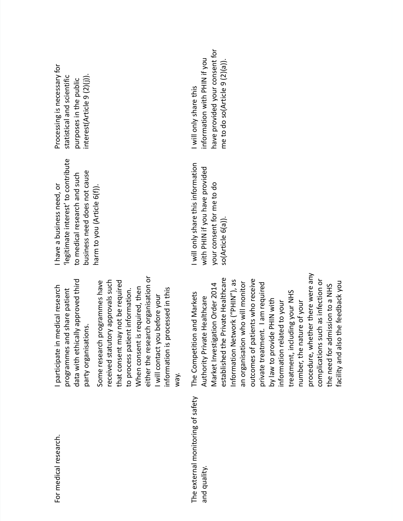| For medical research.                             | either the research organisation or<br>data with ethically approved third<br>received statutory approvals such<br>Some research programmes have<br>that consent may not be required<br>I participate in medical research<br>When consent is required, then<br>information is processed in this<br>programmes and share patient<br>to process patient information.<br>I will contact you before your<br>party organisations.<br>way.                                                                                                                                   | 'legitimate interest' to contribute<br>business need does not cause<br>to medical research and such<br>I have a business need, or<br>harm to you (Article 6(f)). | Processing is n<br>purposes in th<br>interest(Article<br>statistical and |
|---------------------------------------------------|-----------------------------------------------------------------------------------------------------------------------------------------------------------------------------------------------------------------------------------------------------------------------------------------------------------------------------------------------------------------------------------------------------------------------------------------------------------------------------------------------------------------------------------------------------------------------|------------------------------------------------------------------------------------------------------------------------------------------------------------------|--------------------------------------------------------------------------|
| The external monitoring of safety<br>and quality. | procedure, whether there were any<br>established the Private Healthcare<br>outcomes of patients who receive<br>Information Network ("PHIN"), as<br>complications such as infection or<br>facility and also the feedback you<br>an organisation who will monitor<br>private treatment. I am required<br>Market Investigation Order 2014<br>the need for admission to a NHS<br>treatment, including your NHS<br>The Competition and Markets<br>Authority Private Healthcare<br>by law to provide PHIN with<br>information related to your<br>number, the nature of your | I will only share this information<br>with PHIN if you have provided<br>your consent for me to do<br>so(Article 6(a)).                                           | I will only shar<br>have provided<br>information w<br>me to do so(A      |

Processing is necessar y for statistical and scientific purposes in the public interest(Article 9 (2)(j)). e this information with PHIN if n with PHIN if you ovided your consent for me to do so(Article 9 (2)(a)).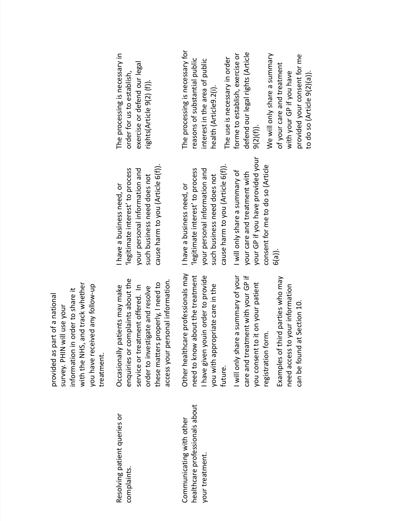legitimate interest' to process your personal information and 'legitimate interest' to process your personal information and a business need, or e will only shar cause harm to cause harm to your GP if your car eI ha v eI ha v eÇ(a)). \_  $\mathord{\geqslant}$ need to know about the treatment about the treatment your ovide your GP if enquiries or complaints about the professionals ma enquiries or complaints about the access your personal information. your personal information. these matters properly, I need to you consent to it on your patient your patient with the NHS, and track whether with the NHS, and track whether service or treatment offered. In these matters properly, I need to an-a e in the y mak e service or treatment offered. In م بين<br>ت vestigate and resolv y of provided as part of a national youin order to pr ovided as part of a national information in order to shar y follo a summar your Occasionally patients ma you with appropriate car and treatment with received an y. PHIN will use you consent to it on registration form. registration form. eOther healthcar e will only shar need to kno ha v e given treatment. treatment. order to in you ha v efuture. sur v e car e\_ healthcare professionals about professionals about Resolving patient queries or Resolving patient queries or Communicating with other Communicating with other your treatment. your treatment. complaints. complaints healthcar

you (Article Ç(f)). cause harm to you (Article 6(f)). such business need does not such business need does not

you (Article Ç(f)). cause harm to you (Article 6(f)) legitimate interest' to process your personal information and 'legitimate interest' to process your personal information and such business need does not such business need does not a business need, or

your consent for me to do so (Article consent for me to do so (Article y of and treatment with ovided a summar you ha v e pr

Examples of thir

need access to

can be found at Section 10.

can be found at Section 10.

ರ

parties who ma

your information

need access to your information

⋗

y in exercise or defend our legal xercise or defend our legal The processing is necessar order for us to establish, order for us to establish, rights(Article  $9(2)$  (f)). rights(Article 9(2) (f)) y for reasons of substantial public interest in the area of public reasons of substantial public interest in the area of public The processing is necessar health (Article9.2(i). health (Article9.2(i).

The use is necessar

The use is necessary in order

in order

xercise or defend our legal rights (Article defend our legal rights (Article a summar  $\mathbf \omega$ forme to establish, e $9(2)(f)$ ).

≻ your consent for me and treatment you ha v e to do so (Article  $9(2)(a)$ ). co do so (Article 9(2)(a)) will only shar your GP if your car eovided with కి لہ<br>آ  $\bf{\bar{p}}$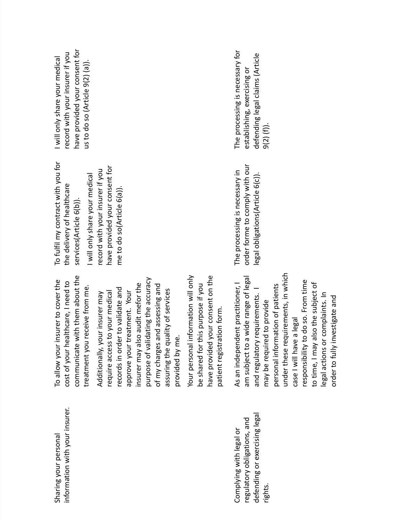| Sharing your personal          | To allow your insurer to cover the                                               | To fulfil my contract with you for | I will only share your medical  |
|--------------------------------|----------------------------------------------------------------------------------|------------------------------------|---------------------------------|
| information with your insurer. | cost of your healthcare, I need to                                               | the delivery of healthcare         | record with your insurer if you |
|                                | with them about the<br>communicate                                               | services(Article 6(b)).            | have provided your consent for  |
|                                | treatment you receive from me.                                                   | I will only share your medical     | us to do so (Article 9(2) (a)). |
|                                | our insurer may<br>Additionally, y                                               | record with your insurer if you    |                                 |
|                                | require access to your medical                                                   | have provided your consent for     |                                 |
|                                | records in order to validate and                                                 | me to do so(Article 6(a)).         |                                 |
|                                | treatment. Your<br>approve your                                                  |                                    |                                 |
|                                | insurer may also audit mefor the                                                 |                                    |                                 |
|                                | idating the accuracy<br>purpose of val                                           |                                    |                                 |
|                                | of my charges and assessing and                                                  |                                    |                                 |
|                                | assuring the quality of services<br>provided by me.                              |                                    |                                 |
|                                |                                                                                  |                                    |                                 |
|                                | information will only<br>this purpose if you<br>be shared for t<br>Your personal |                                    |                                 |
|                                | your consent on the<br>have provided                                             |                                    |                                 |
|                                | patient registration form.                                                       |                                    |                                 |
| Complying with legal or        | As an independent practitioner, I                                                | The processing is necessary in     | The processing is necessary for |
| regulatory obligations, and    | am subject to a wide range of legal                                              | order forme to comply with our     | establishing, exercising or     |
| defending or exercising legal  | and regulatory requirements.                                                     | legal obligations(Article 6(c)).   | defending legal claims (Article |
| rights.                        | may be required to provide                                                       |                                    | $9(2)$ (f)).                    |
|                                | personal information of patients                                                 |                                    |                                 |
|                                | under these requirements, in which                                               |                                    |                                 |
|                                | case I will have a legal                                                         |                                    |                                 |
|                                | to do so. From time<br>responsibility                                            |                                    |                                 |
|                                | also the subject of<br>to time, I may                                            |                                    |                                 |
|                                | legal actions or complaints. In                                                  |                                    |                                 |

order to fully in

vestigate and